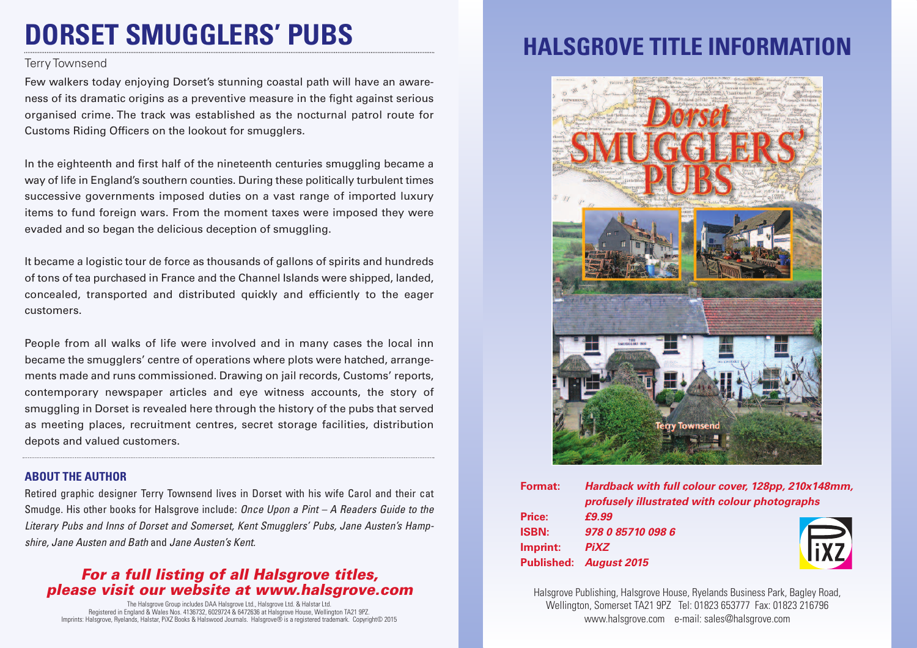# **DORSET SMUGGLERS' PUBS**

#### Terry Townsend

Few walkers today enjoying Dorset's stunning coastal path will have an awareness of its dramatic origins as a preventive measure in the fight against serious organised crime. The track was established as the nocturnal patrol route for Customs Riding Officers on the lookout for smugglers.

In the eighteenth and first half of the nineteenth centuries smuggling became a way of life in England's southern counties. During these politically turbulent times successive governments imposed duties on a vast range of imported luxury items to fund foreign wars. From the moment taxes were imposed they were evaded and so began the delicious deception of smuggling.

It became a logistic tour de force as thousands of gallons of spirits and hundreds of tons of tea purchased in France and the Channel Islands were shipped, landed, concealed, transported and distributed quickly and efficiently to the eager customers.

People from all walks of life were involved and in many cases the local inn became the smugglers' centre of operations where plots were hatched, arrangements made and runs commissioned. Drawing on jail records, Customs' reports, contemporary newspaper articles and eye witness accounts, the story of smuggling in Dorset is revealed here through the history of the pubs that served as meeting places, recruitment centres, secret storage facilities, distribution depots and valued customers.

### **ABOUT THE AUTHOR**

Retired graphic designer Terry Townsend lives in Dorset with his wife Carol and their cat Smudge. His other books for Halsgrove include: *Once Upon a Pint – A Readers Guide to the Literary Pubs and Inns of Dorset and Somerset, Kent Smugglers' Pubs, Jane Austen's Hampshire, Jane Austen and Bath* and *Jane Austen's Kent.*

### *For a full listing of all Halsgrove titles, please visit our website at www.halsgrove.com*

The Halsgrove Group includes DAA Halsgrove Ltd., Halsgrove Ltd. & Halstar Ltd. Registered in England & Wales Nos. 4136732, 6029724 & 6472636 at Halsgrove House, Wellington TA21 9PZ. Imprints: Halsgrove, Ryelands, Halstar, PiXZ Books & Halswood Journals. Halsgrove® is a registered trademark. Copyright© 2015

## **HALSGROVE TITLE INFORMAT**



| <b>Format:</b> | Hardback with full colour cover, 128pp, 210x148mm, |            |
|----------------|----------------------------------------------------|------------|
|                | profusely illustrated with colour photographs      |            |
| Price:         | £9.99                                              |            |
| <b>ISBN:</b>   | 978 0 85710 098 6                                  |            |
| Imprint:       | <b>PiXZ</b>                                        | <b>FX7</b> |
|                | Published: August 2015                             |            |

Halsgrove Publishing, Halsgrove House, Ryelands Business Park, Bagley Road, Wellington, Somerset TA21 9PZ Tel: 01823 653777 Fax: 01823 216796 www.halsgrove.com e-mail: sales@halsgrove.com